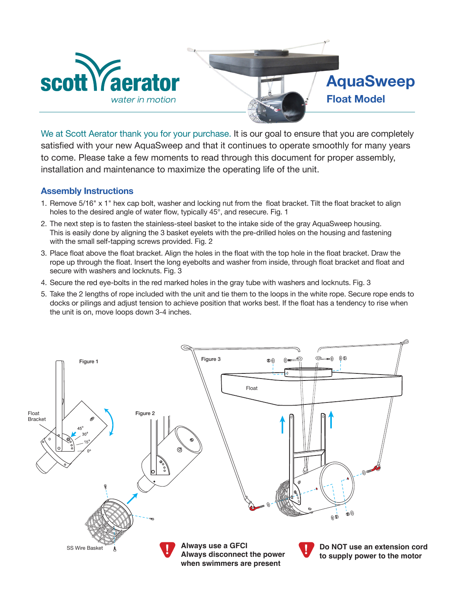

We at Scott Aerator thank you for your purchase. It is our goal to ensure that you are completely satisfied with your new AquaSweep and that it continues to operate smoothly for many years to come. Please take a few moments to read through this document for proper assembly, installation and maintenance to maximize the operating life of the unit.

**AquaSweep**

**Float Model**

## **Assembly Instructions**

- 1. Remove 5/16" x 1" hex cap bolt, washer and locking nut from the float bracket. Tilt the float bracket to align holes to the desired angle of water flow, typically 45°, and resecure. Fig. 1
- 2. The next step is to fasten the stainless-steel basket to the intake side of the gray AquaSweep housing. This is easily done by aligning the 3 basket eyelets with the pre-drilled holes on the housing and fastening with the small self-tapping screws provided. Fig. 2
- 3. Place float above the float bracket. Align the holes in the float with the top hole in the float bracket. Draw the rope up through the float. Insert the long eyebolts and washer from inside, through float bracket and float and secure with washers and locknuts. Fig. 3
- 4. Secure the red eye-bolts in the red marked holes in the gray tube with washers and locknuts. Fig. 3
- 5. Take the 2 lengths of rope included with the unit and tie them to the loops in the white rope. Secure rope ends to docks or pilings and adjust tension to achieve position that works best. If the float has a tendency to rise when the unit is on, move loops down 3-4 inches.